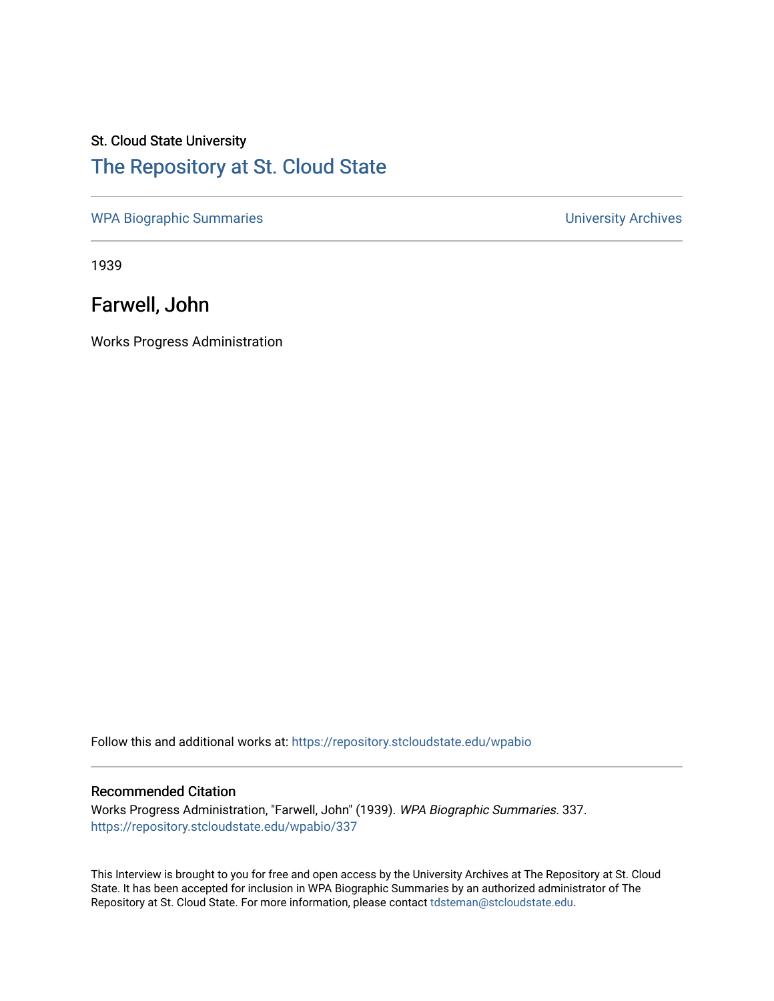## St. Cloud State University [The Repository at St. Cloud State](https://repository.stcloudstate.edu/)

[WPA Biographic Summaries](https://repository.stcloudstate.edu/wpabio) **WPA Biographic Summaries University Archives** 

1939

Farwell, John

Works Progress Administration

Follow this and additional works at: [https://repository.stcloudstate.edu/wpabio](https://repository.stcloudstate.edu/wpabio?utm_source=repository.stcloudstate.edu%2Fwpabio%2F337&utm_medium=PDF&utm_campaign=PDFCoverPages) 

### Recommended Citation

Works Progress Administration, "Farwell, John" (1939). WPA Biographic Summaries. 337. [https://repository.stcloudstate.edu/wpabio/337](https://repository.stcloudstate.edu/wpabio/337?utm_source=repository.stcloudstate.edu%2Fwpabio%2F337&utm_medium=PDF&utm_campaign=PDFCoverPages) 

This Interview is brought to you for free and open access by the University Archives at The Repository at St. Cloud State. It has been accepted for inclusion in WPA Biographic Summaries by an authorized administrator of The Repository at St. Cloud State. For more information, please contact [tdsteman@stcloudstate.edu.](mailto:tdsteman@stcloudstate.edu)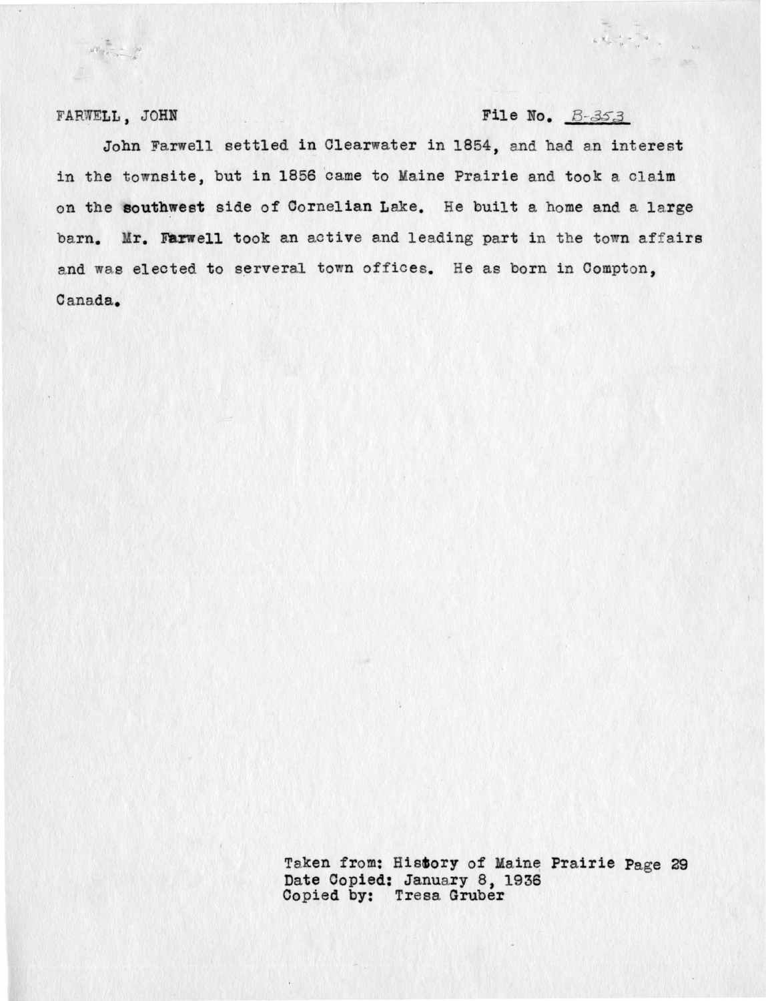$M^{\frac{m}{2}}\frac{m}{\sqrt{2}}\to -\infty$ 

### **FARWELL, JOHN <b>File No.**  $B - 353$

 $\frac{1}{\sqrt{2\pi}}\int_{0}^{\frac{\pi}{2}}\frac{1}{\sqrt{2\pi}}\int_{0}^{\frac{\pi}{2}}\frac{1}{\sqrt{2\pi}}\int_{0}^{\frac{\pi}{2}}\frac{1}{\sqrt{2\pi}}\int_{0}^{\frac{\pi}{2}}\frac{1}{\sqrt{2\pi}}\int_{0}^{\frac{\pi}{2}}\frac{1}{\sqrt{2\pi}}\int_{0}^{\frac{\pi}{2}}\frac{1}{\sqrt{2\pi}}\int_{0}^{\frac{\pi}{2}}\frac{1}{\sqrt{2\pi}}\int_{0}^{\frac{\pi}{2}}\frac{1}{\sqrt{2\pi}}\int_{0}^{\frac$ 

John Farwell settled in Clearwater in 1854, and had an interest in the townsite, but in 1856 came to Maine Prairie and took a claim on the **southwest** side of Cornelian Lake. He built a home and a large barn. Mr. Farwell took an active and leading part in the town affairs and was elected to serveral town offices. He as born in Compton, Canada.

> Taken from: History of Maine Prairie Page 29 Date Copied: January 8, 1936 Copied by: Tresa Gruber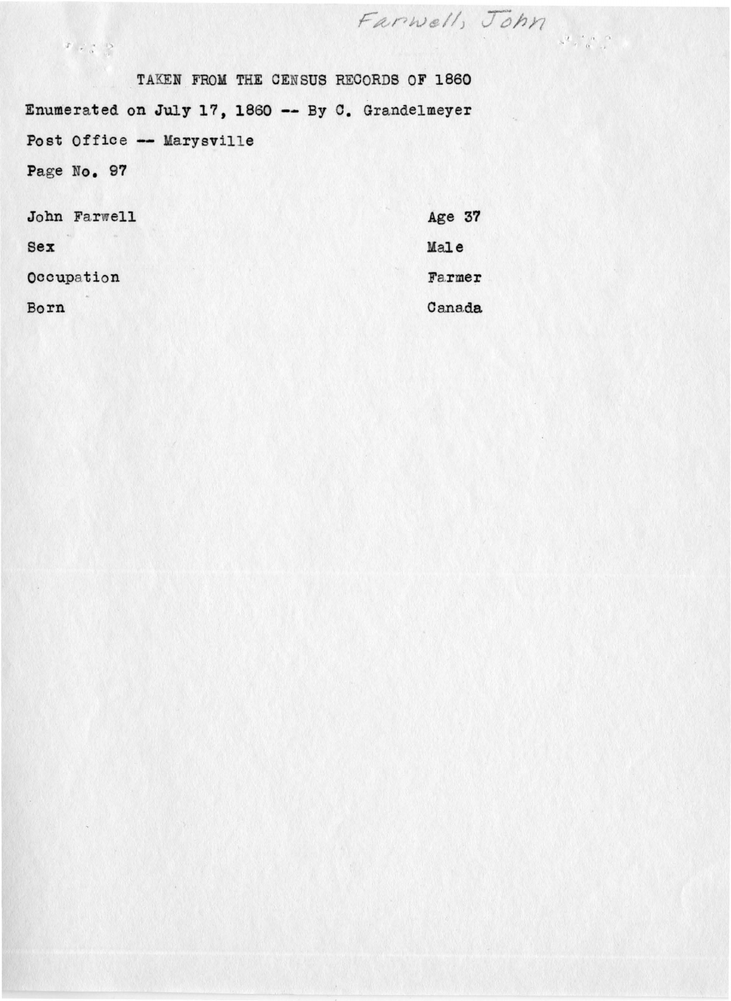Farwell, John  $\begin{array}{c} \mathbb{P} & \mathbb{P} & \mathbb{R} & \mathbb{R} \\ \mathbb{P} & \mathbb{P} & \mathbb{Q} & \mathbb{Q} \end{array}$ TAKEN FROM THE CENSUS RECORDS OF 1860 Enumerated on July 17, 1860 -- By C. Grandelmeyer Post Office -- Marysville Page No. 97

| John Farwell | Age 37 |
|--------------|--------|
| Sex          | Male   |
| Occupation   | Farmer |
| Born         | Canada |